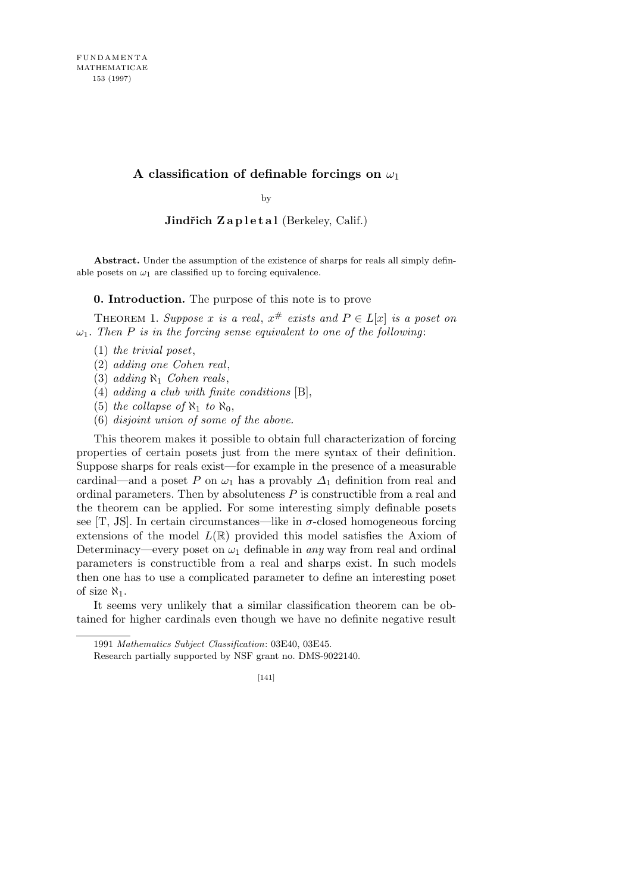## **A classification of definable forcings on** *ω*<sup>1</sup>

by

**Jindřich Zapletal** (Berkeley, Calif.)

**Abstract.** Under the assumption of the existence of sharps for reals all simply definable posets on  $\omega_1$  are classified up to forcing equivalence.

**0. Introduction.** The purpose of this note is to prove

THEOREM 1. Suppose *x* is a real,  $x^{\#}$  exists and  $P \in L[x]$  is a poset on  $\omega_1$ *. Then P is in the forcing sense equivalent to one of the following:* 

- (1) *the trivial poset*,
- (2) *adding one Cohen real*,
- (3) *adding ℵ*<sup>1</sup> *Cohen reals*,
- (4) *adding a club with finite conditions* [B],
- (5) *the collapse of*  $\aleph_1$  *to*  $\aleph_0$ ,
- (6) *disjoint union of some of the above.*

This theorem makes it possible to obtain full characterization of forcing properties of certain posets just from the mere syntax of their definition. Suppose sharps for reals exist—for example in the presence of a measurable cardinal—and a poset *P* on  $\omega_1$  has a provably  $\Delta_1$  definition from real and ordinal parameters. Then by absoluteness *P* is constructible from a real and the theorem can be applied. For some interesting simply definable posets see  $[T, JS]$ . In certain circumstances—like in  $\sigma$ -closed homogeneous forcing extensions of the model  $L(\mathbb{R})$  provided this model satisfies the Axiom of Determinacy—every poset on  $\omega_1$  definable in *any* way from real and ordinal parameters is constructible from a real and sharps exist. In such models then one has to use a complicated parameter to define an interesting poset of size  $\aleph_1$ .

It seems very unlikely that a similar classification theorem can be obtained for higher cardinals even though we have no definite negative result

<sup>1991</sup> *Mathematics Subject Classification*: 03E40, 03E45.

Research partially supported by NSF grant no. DMS-9022140.

<sup>[141]</sup>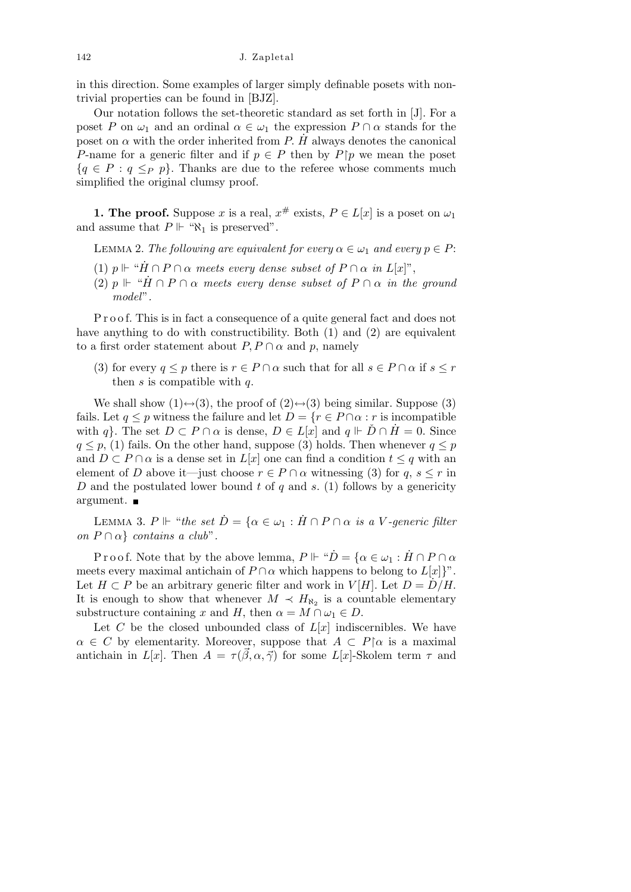142 J. Zapletal

in this direction. Some examples of larger simply definable posets with nontrivial properties can be found in [BJZ].

Our notation follows the set-theoretic standard as set forth in [J]. For a poset *P* on  $\omega_1$  and an ordinal  $\alpha \in \omega_1$  the expression  $P \cap \alpha$  stands for the poset on  $\alpha$  with the order inherited from *P. H* always denotes the canonical *P*-name for a generic filter and if  $p \in P$  then by  $P$ |*p* we mean the poset  ${q \in P : q \leq_P p}$ . Thanks are due to the referee whose comments much simplified the original clumsy proof.

**1. The proof.** Suppose *x* is a real,  $x^{\#}$  exists,  $P \in L[x]$  is a poset on  $\omega_1$ and assume that  $P \Vdash " \aleph_1$  is preserved".

LEMMA 2. *The following are equivalent for every*  $\alpha \in \omega_1$  *and every*  $p \in P$ :

- $(1)$   $p \Vdash ``\dot{H} \cap P \cap \alpha$  meets every dense subset of  $P \cap \alpha$  in  $L[x]$ ",
- (2)  $p \Vdash ``\dot{H} \cap P \cap \alpha$  meets every dense subset of  $P \cap \alpha$  in the ground *model*"*.*

P r o o f. This is in fact a consequence of a quite general fact and does not have anything to do with constructibility. Both (1) and (2) are equivalent to a first order statement about  $P, P \cap \alpha$  and p, namely

(3) for every  $q \leq p$  there is  $r \in P \cap \alpha$  such that for all  $s \in P \cap \alpha$  if  $s \leq r$ then *s* is compatible with *q.*

We shall show  $(1) \leftrightarrow (3)$ , the proof of  $(2) \leftrightarrow (3)$  being similar. Suppose  $(3)$ fails. Let  $q \leq p$  witness the failure and let  $D = \{r \in P \cap \alpha : r$  is incompatible with *q}.* The set  $D \subset P \cap \alpha$  is dense,  $D \in L[x]$  and  $q \Vdash \overline{D} \cap H = 0$ *.* Since  $q \leq p$ , (1) fails. On the other hand, suppose (3) holds. Then whenever  $q \leq p$ and  $D \subset P \cap \alpha$  is a dense set in  $L[x]$  one can find a condition  $t \leq q$  with an element of *D* above it—just choose  $r \in P \cap \alpha$  witnessing (3) for  $q, s \leq r$  in *D* and the postulated lower bound *t* of *q* and *s.* (1) follows by a genericity argument.

LEMMA 3.  $P \Vdash ``the set \dot{D} = \{ \alpha \in \omega_1 : \dot{H} \cap P \cap \alpha \text{ is a } V \text{-generic filter} \}$ *on*  $P \cap \alpha$  *contains a club*".

Proof. Note that by the above lemma,  $P \Vdash "D = \{ \alpha \in \omega_1 : H \cap P \cap \alpha \}$ meets every maximal antichain of  $P \cap \alpha$  which happens to belong to  $L[x]$ <sup>"</sup>. Let  $H \subset P$  be an arbitrary generic filter and work in  $V[H]$ . Let  $D = D/H$ . It is enough to show that whenever  $M \prec H_{\aleph_2}$  is a countable elementary substructure containing *x* and *H*, then  $\alpha = M \cap \omega_1 \in D$ .

Let *C* be the closed unbounded class of  $L[x]$  indiscernibles. We have  $\alpha \in C$  by elementarity. Moreover, suppose that  $A \subset P[\alpha]$  is a maximal antichain in *L*[*x*]. Then  $A = \tau(\vec{\beta}, \alpha, \vec{\gamma})$  for some *L*[*x*]-Skolem term  $\tau$  and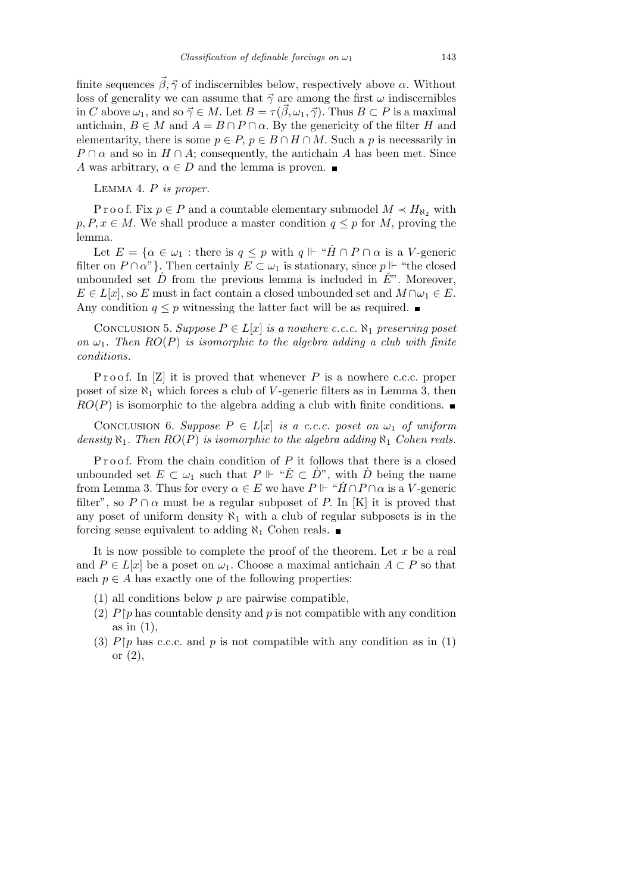finite sequences  $\vec{\beta}, \vec{\gamma}$  of indiscernibles below, respectively above  $\alpha$ . Without loss of generality we can assume that  $\vec{\gamma}$  are among the first  $\omega$  indiscernibles in *C* above  $\omega_1$ , and so  $\vec{\gamma} \in M$ . Let  $B = \tau(\vec{\beta}, \omega_1, \vec{\gamma})$ . Thus  $B \subset P$  is a maximal antichain,  $B \in M$  and  $A = B \cap P \cap \alpha$ . By the genericity of the filter *H* and elementarity, there is some  $p \in P$ ,  $p \in B \cap H \cap M$ . Such a *p* is necessarily in  $P \cap \alpha$  and so in  $H \cap A$ ; consequently, the antichain *A* has been met. Since *A* was arbitrary,  $\alpha \in D$  and the lemma is proven.

Lemma 4. *P is proper.*

P r o o f. Fix  $p \in P$  and a countable elementary submodel  $M \prec H_{\aleph_2}$  with  $p, P, x \in M$ . We shall produce a master condition  $q \leq p$  for *M*, proving the lemma.

Let  $E = \{ \alpha \in \omega_1 : \text{there is } q \leq p \text{ with } q \Vdash \text{``}\dot{H} \cap P \cap \alpha \text{ is a } V \text{-generic} \}$ filter on  $P \cap \alpha$ " }. Then certainly  $E \subset \omega_1$  is stationary, since  $p \Vdash$  "the closed unbounded set  $\overrightarrow{D}$  from the previous lemma is included in  $\overrightarrow{E}$ <sup>n</sup>. Moreover,  $E \in L[x]$ , so *E* must in fact contain a closed unbounded set and  $M \cap \omega_1 \in E$ . Any condition  $q \leq p$  witnessing the latter fact will be as required.  $\blacksquare$ 

CONCLUSION 5. *Suppose*  $P \in L[x]$  *is a nowhere c.c.c.*  $\aleph_1$  *preserving poset on*  $\omega_1$ *. Then*  $RO(P)$  *is isomorphic to the algebra adding a club with finite conditions.*

Proof. In [Z] it is proved that whenever P is a nowhere c.c.c. proper poset of size  $\aleph_1$  which forces a club of *V*-generic filters as in Lemma 3, then  $RO(P)$  is isomorphic to the algebra adding a club with finite conditions.

CONCLUSION 6. *Suppose*  $P \in L[x]$  *is a c.c.c. poset on*  $\omega_1$  *of uniform density*  $\aleph_1$ *. Then*  $RO(P)$  *is isomorphic to the algebra adding*  $\aleph_1$  *Cohen reals.* 

Proof. From the chain condition of P it follows that there is a closed unbounded set  $E \subset \omega_1$  such that  $P \Vdash ``\check{E} \subset \dot{D}"$ , with  $\dot{D}$  being the name from Lemma 3. Thus for every  $\alpha \in E$  we have  $P \Vdash \text{``}\dot{H} \cap P \cap \alpha$  is a *V*-generic filter", so  $P \cap \alpha$  must be a regular subposet of P. In [K] it is proved that any poset of uniform density  $\aleph_1$  with a club of regular subposets is in the forcing sense equivalent to adding  $\aleph_1$  Cohen reals.

It is now possible to complete the proof of the theorem. Let *x* be a real and  $P \in L[x]$  be a poset on  $\omega_1$ . Choose a maximal antichain  $A \subset P$  so that each  $p \in A$  has exactly one of the following properties:

- (1) all conditions below *p* are pairwise compatible,
- (2)  $P$  p has countable density and p is not compatible with any condition as in (1),
- (3)  $P\upharpoonright p$  has c.c.c. and p is not compatible with any condition as in (1) or  $(2)$ ,